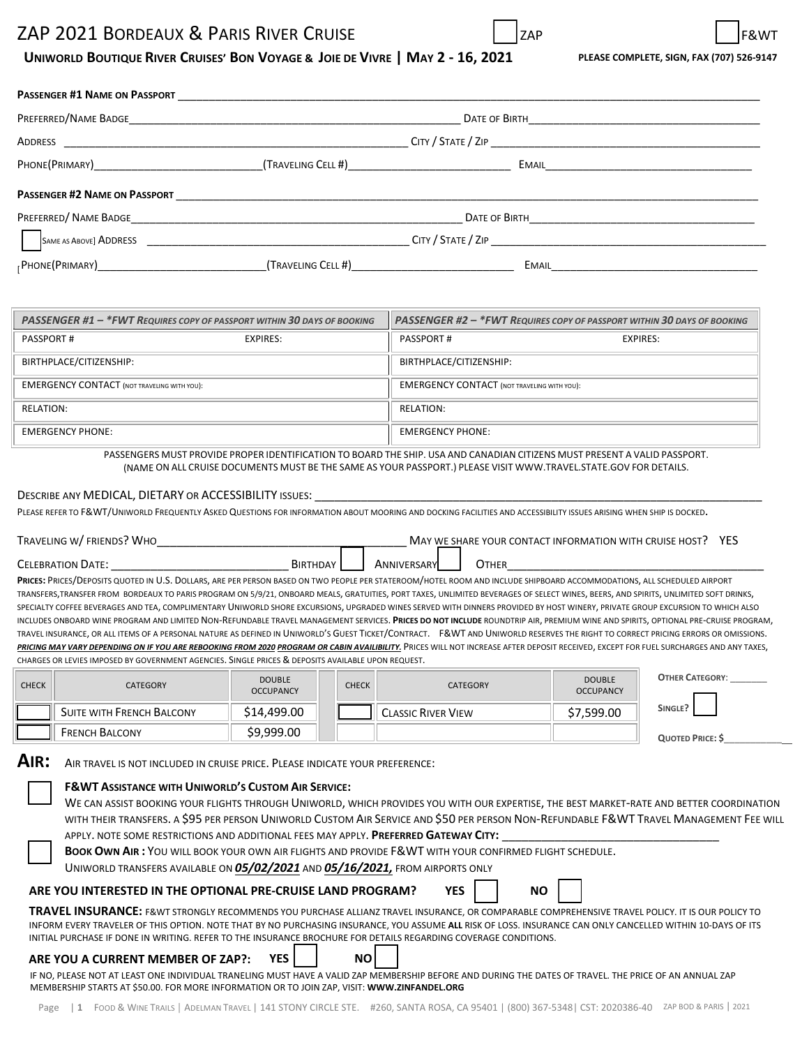# ZAP 2021 BORDEAUX & PARIS RIVER CRUISE

# UNIWORLD BOUTIQUE RIVER CRUISES' BON VOYAGE & JOIE DE VIVRE | MAY 2 - 16, 2021 PLEASE COMPLETE, SIGN, FAX (707) 526-9147

| <b>PASSENGER #1 NAME ON PASSPORT</b> |                    |                                 |  |
|--------------------------------------|--------------------|---------------------------------|--|
|                                      |                    |                                 |  |
|                                      |                    |                                 |  |
|                                      |                    | <b>EMAIL EMAIL</b>              |  |
|                                      |                    |                                 |  |
|                                      |                    | DATE OF BIRTH <b>CONTRACTES</b> |  |
|                                      |                    | $C$ ITY / $S$ TATE / $ZIP$      |  |
|                                      | (TRAVELING CELL #) | <b>EMAIL EMAIL</b>              |  |

| PASSENGER #1 - *FWT REQUIRES COPY OF PASSPORT WITHIN 30 DAYS OF BOOKING |          | PASSENGER #2 - *FWT REQUIRES COPY OF PASSPORT WITHIN 30 DAYS OF BOOKING |          |  |
|-------------------------------------------------------------------------|----------|-------------------------------------------------------------------------|----------|--|
| <b>PASSPORT#</b>                                                        | EXPIRES: | <b>PASSPORT#</b>                                                        | EXPIRES: |  |
| BIRTHPLACE/CITIZENSHIP:                                                 |          | BIRTHPLACE/CITIZENSHIP:                                                 |          |  |
| <b>EMERGENCY CONTACT</b> (NOT TRAVELING WITH YOU):                      |          | <b>EMERGENCY CONTACT (NOT TRAVELING WITH YOU):</b>                      |          |  |
| RELATION:                                                               |          | RELATION:                                                               |          |  |
| <b>EMERGENCY PHONE:</b>                                                 |          | <b>EMERGENCY PHONE:</b>                                                 |          |  |

PASSENGERS MUST PROVIDE PROPER IDENTIFICATION TO BOARD THE SHIP. USA AND CANADIAN CITIZENS MUST PRESENT A VALID PASSPORT. (NAME ON ALL CRUISE DOCUMENTS MUST BE THE SAME AS YOUR PASSPORT.) PLEASE VISIT WWW.TRAVEL.STATE.GOV FOR DETAILS.

#### DESCRIBE ANY MEDICAL, DIETARY OR ACCESSIBILITY ISSUES:

PLEASE REFER TO F&WT/UNIWORLD FREQUENTLY ASKED QUESTIONS FOR INFORMATION ABOUT MOORING AND DOCKING FACILITIES AND ACCESSIBILITY ISSUES ARISING WHEN SHIP IS DOCKED.

| TRAVELING W/ FRIENDS? WHO                                                                                                                                               | MAY WE SHARE YOUR CONTACT INFORMATION WITH CRUISE HOST? YES |  |  |  |
|-------------------------------------------------------------------------------------------------------------------------------------------------------------------------|-------------------------------------------------------------|--|--|--|
| <b>CELEBRATION DATE:</b>                                                                                                                                                | BIRTHDAY<br>ANNIVERSARYL<br><b>OTHER</b>                    |  |  |  |
| PRICES: PRICES/DEPOSITS QUOTED IN U.S. DOLLARS, ARE PER PERSON BASED ON TWO PEOPLE PER STATEROOM/HOTEL ROOM AND INCLUDE SHIPBOARD ACCOMMODATIONS, ALL SCHEDULED AIRPORT |                                                             |  |  |  |

TRANSFERS,TRANSFER FROM BORDEAUX TO PARIS PROGRAM ON 5/9/21, ONBOARD MEALS, GRATUITIES, PORT TAXES, UNLIMITED BEVERAGES OF SELECT WINES, BEERS, AND SPIRITS, UNLIMITED SOFT DRINKS, SPECIALTY COFFEE BEVERAGES AND TEA, COMPLIMENTARY UNIWORLD SHORE EXCURSIONS, UPGRADED WINES SERVED WITH DINNERS PROVIDED BY HOST WINERY, PRIVATE GROUP EXCURSION TO WHICH ALSO INCLUDES ONBOARD WINE PROGRAM AND LIMITED NON-REFUNDABLE TRAVEL MANAGEMENT SERVICES. **PRICES DO NOT INCLUDE** ROUNDTRIP AIR, PREMIUM WINE AND SPIRITS, OPTIONAL PRE-CRUISE PROGRAM, TRAVEL INSURANCE, OR ALL ITEMS OF A PERSONAL NATURE AS DEFINED IN UNIWORLD'S GUEST TICKET/CONTRACT. F&WT AND UNIWORLD RESERVES THE RIGHT TO CORRECT PRICING ERRORS OR OMISSIONS. PRICING MAY VARY DEPENDING ON IF YOU ARE REBOOKING FROM 2020 PROGRAM OR CABIN AVAILIBILITY. PRICES WILL NOT INCREASE AFTER DEPOSIT RECEIVED, EXCEPT FOR FUEL SURCHARGES AND ANY TAXES, CHARGES OR LEVIES IMPOSED BY GOVERNMENT AGENCIES. SINGLE PRICES & DEPOSITS AVAILABLE UPON REQUEST.

| <b>CHECK</b> | CATEGORY                  | <b>DOUBLE</b><br><b>OCCUPANCY</b> | <b>CHECK</b> | <b>CATEGORY</b>           | <b>DOUBLE</b><br><b>OCCUPANCY</b> | <b>OTHER CATEGORY:</b> |
|--------------|---------------------------|-----------------------------------|--------------|---------------------------|-----------------------------------|------------------------|
|              | SUITE WITH FRENCH BALCONY | \$14,499.00                       |              | <b>CLASSIC RIVER VIEW</b> | \$7,599.00                        | SINGLE?                |
|              | <b>FRENCH BALCONY</b>     | \$9,999.00                        |              |                           |                                   | <b>QUOTED PRICE: S</b> |

**AIR:** AIR TRAVEL IS NOT INCLUDED IN CRUISE PRICE. PLEASE INDICATE YOUR PREFERENCE:

### **F&WT ASSISTANCE WITH UNIWORLD'S CUSTOM AIR SERVICE:**

| WE CAN ASSIST BOOKING YOUR FLIGHTS THROUGH UNIWORLD, WHICH PROVIDES YOU WITH OUR EXPERTISE, THE BEST MARKET-RATE AND BETTER COORDINATION |
|------------------------------------------------------------------------------------------------------------------------------------------|
| WITH THEIR TRANSFERS. A \$95 PER PERSON UNIWORLD CUSTOM AIR SERVICE AND \$50 PER PERSON NON-REFUNDABLE F&WT TRAVEL MANAGEMENT FEE WILL   |
| APPLY. NOTE SOME RESTRICTIONS AND ADDITIONAL FEES MAY APPLY. PREFERRED GATEWAY CITY:                                                     |

**BOOK OWN AIR :** YOU WILL BOOK YOUR OWN AIR FLIGHTS AND PROVIDE F&WT WITH YOUR CONFIRMED FLIGHT SCHEDULE. UNIWORLD TRANSFERS AVAILABLE ON *05/02/2021* AND *05/16/2021,* FROM AIRPORTS ONLY

### ARE YOU INTERESTED IN THE OPTIONAL PRE-CRUISE LAND PROGRAM? YES NO

**TRAVEL INSURANCE:** F&WT STRONGLY RECOMMENDS YOU PURCHASE ALLIANZ TRAVEL INSURANCE, OR COMPARABLE COMPREHENSIVE TRAVEL POLICY. IT IS OUR POLICY TO INFORM EVERY TRAVELER OF THIS OPTION. NOTE THAT BY NO PURCHASING INSURANCE, YOU ASSUME **ALL** RISK OF LOSS. INSURANCE CAN ONLY CANCELLED WITHIN 10-DAYS OF ITS INITIAL PURCHASE IF DONE IN WRITING. REFER TO THE INSURANCE BROCHURE FOR DETAILS REGARDING COVERAGE CONDITIONS.

## **ARE YOU A CURRENT MEMBER OF ZAP?: YES | | NO**

IF NO, PLEASE NOT AT LEAST ONE INDIVIDUAL TRANELING MUST HAVE A VALID ZAP MEMBERSHIP BEFORE AND DURING THE DATES OF TRAVEL. THE PRICE OF AN ANNUAL ZAP MEMBERSHIP STARTS AT \$50.00. FOR MORE INFORMATION OR TO JOIN ZAP, VISIT: **[WWW.ZINFANDEL.ORG](https://zinfandel.org/join/)**